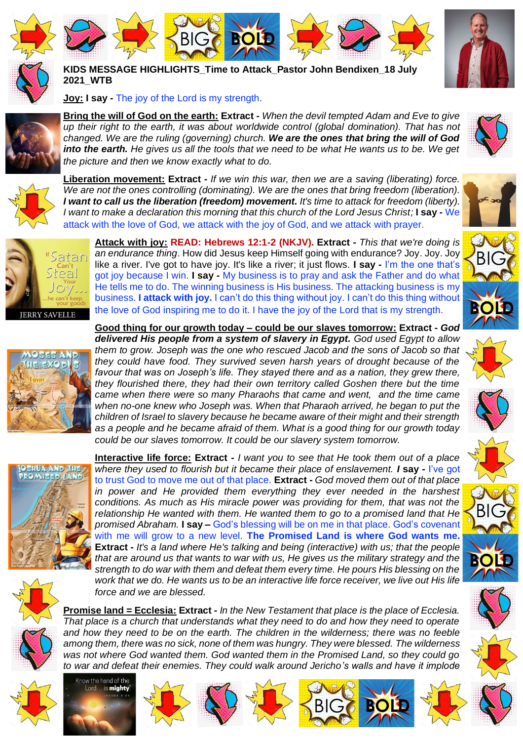





**KIDS MESSAGE HIGHLIGHTS\_Time to Attack\_Pastor John Bendixen\_18 July 2021\_WTB**

**BIG <b>BOLD** 

**Joy: I say -** The joy of the Lord is my strength.

**Bring the will of God on the earth: Extract -** *When the devil tempted Adam and Eve to give up their right to the earth, it was about worldwide control (global domination). That has not changed. We are the ruling (governing) church. We are the ones that bring the will of God into the earth. He gives us all the tools that we need to be what He wants us to be. We get the picture and then we know exactly what to do.*



**Liberation movement: Extract -** *If we win this war, then we are a saving (liberating) force. We are not the ones controlling (dominating). We are the ones that bring freedom (liberation). I want to call us the liberation (freedom) movement. It's time to attack for freedom (liberty). I want to make a declaration this morning that this church of the Lord Jesus Christ;* **I say -** We attack with the love of God, we attack with the joy of God, and we attack with prayer.

the love of God inspiring me to do it. I have the joy of the Lord that is my strength.

**Good thing for our growth today – could be our slaves tomorrow: Extract -** *God* 

*they could have food. They survived seven harsh years of drought because of the*  favour that was on Joseph's life. They stayed there and as a nation, they grew there, *they flourished there, they had their own territory called Goshen there but the time came when there were so many Pharaohs that came and went, and the time came*  when no-one knew who Joseph was. When that Pharaoh arrived, he began to put the *children of Israel to slavery because he became aware of their might and their strength as a people and he became afraid of them. What is a good thing for our growth today* 



**IERRY SAVELLE** 





*could be our slaves tomorrow. It could be our slavery system tomorrow.* **Interactive life force: Extract -** *I want you to see that He took them out of a place where they used to flourish but it became their place of enslavement. I* **say -** I've got to trust God to move me out of that place. **Extract -** *God moved them out of that place in power and He provided them everything they ever needed in the harshest conditions. As much as His miracle power was providing for them, that was not the relationship He wanted with them. He wanted them to go to a promised land that He promised Abraham.* **I say –** God's blessing will be on me in that place. God's covenant with me will grow to a new level. **The Promised Land is where God wants me. Extract -** *It's a land where He's talking and being (interactive) with us; that the people that are around us that wants to war with us, He gives us the military strategy and the strength to do war with them and defeat them every time. He pours His blessing on the*  work that we do. He wants us to be an interactive life force receiver, we live out His life



**Promise land = Ecclesia: Extract -** *In the New Testament that place is the place of Ecclesia. That place is a church that understands what they need to do and how they need to operate and how they need to be on the earth. The children in the wilderness; there was no feeble among them, there was no sick, none of them was hungry. They were blessed. The wilderness was not where God wanted them. God wanted them in the Promised Land, so they could go to war and defeat their enemies. They could walk around Jericho's walls and have it implode* 





*force and we are blessed.*



















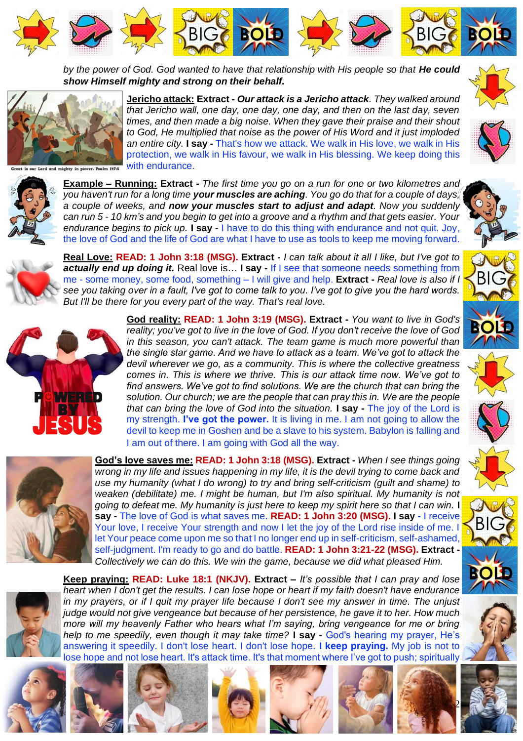

by the power of God. God wanted to have that relationship with His people so that He could *show Himself mighty and strong on their behalf.*

> **Jericho attack: Extract -** *Our attack is a Jericho attack. They walked around that Jericho wall, one day, one day, one day, and then on the last day, seven times, and then made a big noise. When they gave their praise and their shout to God, He multiplied that noise as the power of His Word and it just imploded an entire city.* **I say -** That's how we attack. We walk in His love, we walk in His protection, we walk in His favour, we walk in His blessing. We keep doing this



with endurance.



**Example – Running: Extract -** *The first time you go on a run for one or two kilometres and you haven't run for a long time your muscles are aching. You go do that for a couple of days, a couple of weeks, and now your muscles start to adjust and adapt. Now you suddenly can run 5 - 10 km's and you begin to get into a groove and a rhythm and that gets easier. Your endurance begins to pick up.* **I say -** I have to do this thing with endurance and not quit. Joy, the love of God and the life of God are what I have to use as tools to keep me moving forward.



**Real Love: READ: 1 John 3:18 (MSG). Extract -** *I can talk about it all I like, but I've got to actually end up doing it.* Real love is… **I say -** If I see that someone needs something from me - some money, some food, something – I will give and help. **Extract -** *Real love is also if I see you taking over in a fault, I've got to come talk to you. I've got to give you the hard words. But I'll be there for you every part of the way. That's real love.*



**God reality: READ: 1 John 3:19 (MSG). Extract -** *You want to live in God's reality; you've got to live in the love of God. If you don't receive the love of God in this season, you can't attack. The team game is much more powerful than the single star game. And we have to attack as a team. We've got to attack the devil wherever we go, as a community. This is where the collective greatness comes in. This is where we thrive. This is our attack time now. We've got to find answers. We've got to find solutions. We are the church that can bring the solution. Our church; we are the people that can pray this in. We are the people that can bring the love of God into the situation.* **I say -** The joy of the Lord is my strength. **I've got the power.** It is living in me. I am not going to allow the devil to keep me in Goshen and be a slave to his system. Babylon is falling and I am out of there. I am going with God all the way.



**God's love saves me: READ: 1 John 3:18 (MSG). Extract -** *When I see things going wrong in my life and issues happening in my life, it is the devil trying to come back and use my humanity (what I do wrong) to try and bring self-criticism (guilt and shame) to weaken (debilitate) me. I might be human, but I'm also spiritual. My humanity is not going to defeat me. My humanity is just here to keep my spirit here so that I can win.* I **say -** The love of God is what saves me. **READ: 1 John 3:20 (MSG). I say -** I receive Your love, I receive Your strength and now I let the joy of the Lord rise inside of me. I let Your peace come upon me so that I no longer end up in self-criticism, self-ashamed, self-judgment. I'm ready to go and do battle. **READ: 1 John 3:21-22 (MSG). Extract -** *Collectively we can do this. We win the game, because we did what pleased Him.*



**Keep praying: READ: Luke 18:1 (NKJV). Extract – It's possible that I can pray and lose** *heart when I don't get the results. I can lose hope or heart if my faith doesn't have endurance in my prayers, or if I quit my prayer life because I don't see my answer in time. The unjust judge would not give vengeance but because of her persistence, he gave it to her. How much more will my heavenly Father who hears what I'm saying, bring vengeance for me or bring help to me speedily, even though it may take time?* **I say -** God's hearing my prayer, He's answering it speedily. I don't lose heart. I don't lose hope. **I keep praying.** My job is not to lose hope and not lose heart. It's attack time. It's that moment where I've got to push; spiritually













2





BIG

**BOLD**

BIG

**BOLD**